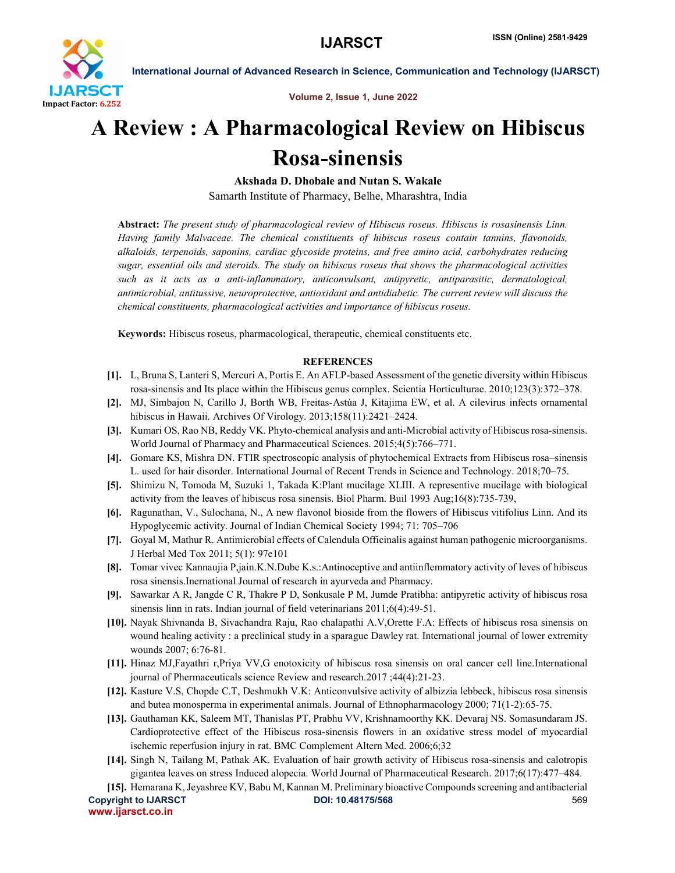

International Journal of Advanced Research in Science, Communication and Technology (IJARSCT)

Volume 2, Issue 1, June 2022

## A Review : A Pharmacological Review on Hibiscus Rosa-sinensis

Akshada D. Dhobale and Nutan S. Wakale

Samarth Institute of Pharmacy, Belhe, Mharashtra, India

Abstract: *The present study of pharmacological review of Hibiscus roseus. Hibiscus is rosasinensis Linn. Having family Malvaceae. The chemical constituents of hibiscus roseus contain tannins, flavonoids, alkaloids, terpenoids, saponins, cardiac glycoside proteins, and free amino acid, carbohydrates reducing sugar, essential oils and steroids. The study on hibiscus roseus that shows the pharmacological activities such as it acts as a anti-inflammatory, anticonvulsant, antipyretic, antiparasitic, dermatological, antimicrobial, antitussive, neuroprotective, antioxidant and antidiabetic. The current review will discuss the chemical constituents, pharmacological activities and importance of hibiscus roseus.*

Keywords: Hibiscus roseus, pharmacological, therapeutic, chemical constituents etc.

## **REFERENCES**

- [1]. L, Bruna S, Lanteri S, Mercuri A, Portis E. An AFLP-based Assessment of the genetic diversity within Hibiscus rosa-sinensis and Its place within the Hibiscus genus complex. Scientia Horticulturae. 2010;123(3):372–378.
- [2]. MJ, Simbajon N, Carillo J, Borth WB, Freitas-Astúa J, Kitajima EW, et al. A cilevirus infects ornamental hibiscus in Hawaii. Archives Of Virology. 2013;158(11):2421–2424.
- [3]. Kumari OS, Rao NB, Reddy VK. Phyto-chemical analysis and anti-Microbial activity of Hibiscus rosa-sinensis. World Journal of Pharmacy and Pharmaceutical Sciences. 2015;4(5):766–771.
- [4]. Gomare KS, Mishra DN. FTIR spectroscopic analysis of phytochemical Extracts from Hibiscus rosa–sinensis L. used for hair disorder. International Journal of Recent Trends in Science and Technology. 2018;70–75.
- [5]. Shimizu N, Tomoda M, Suzuki 1, Takada K:Plant mucilage XLIII. A representive mucilage with biological activity from the leaves of hibiscus rosa sinensis. Biol Pharm. Buil 1993 Aug;16(8):735-739,
- [6]. Ragunathan, V., Sulochana, N., A new flavonol bioside from the flowers of Hibiscus vitifolius Linn. And its Hypoglycemic activity. Journal of Indian Chemical Society 1994; 71: 705–706
- [7]. Goyal M, Mathur R. Antimicrobial effects of Calendula Officinalis against human pathogenic microorganisms. J Herbal Med Tox 2011; 5(1): 97e101
- [8]. Tomar vivec Kannaujia P,jain.K.N.Dube K.s.:Antinoceptive and antiinflemmatory activity of leves of hibiscus rosa sinensis.Inernational Journal of research in ayurveda and Pharmacy.
- [9]. Sawarkar A R, Jangde C R, Thakre P D, Sonkusale P M, Jumde Pratibha: antipyretic activity of hibiscus rosa sinensis linn in rats. Indian journal of field veterinarians 2011;6(4):49-51.
- [10]. Nayak Shivnanda B, Sivachandra Raju, Rao chalapathi A.V,Orette F.A: Effects of hibiscus rosa sinensis on wound healing activity : a preclinical study in a sparague Dawley rat. International journal of lower extremity wounds 2007; 6:76-81.
- [11]. Hinaz MJ,Fayathri r,Priya VV,G enotoxicity of hibiscus rosa sinensis on oral cancer cell line.International journal of Phermaceuticals science Review and research.2017 ;44(4):21-23.
- [12]. Kasture V.S, Chopde C.T, Deshmukh V.K: Anticonvulsive activity of albizzia lebbeck, hibiscus rosa sinensis and butea monosperma in experimental animals. Journal of Ethnopharmacology 2000; 71(1-2):65-75.
- [13]. Gauthaman KK, Saleem MT, Thanislas PT, Prabhu VV, Krishnamoorthy KK. Devaraj NS. Somasundaram JS. Cardioprotective effect of the Hibiscus rosa-sinensis flowers in an oxidative stress model of myocardial ischemic reperfusion injury in rat. BMC Complement Altern Med. 2006;6;32
- [14]. Singh N, Tailang M, Pathak AK. Evaluation of hair growth activity of Hibiscus rosa-sinensis and calotropis gigantea leaves on stress Induced alopecia. World Journal of Pharmaceutical Research. 2017;6(17):477–484.
- Copyright to IJARSCT **DOI: 10.48175/568 S69** www.ijarsct.co.in [15]. Hemarana K, Jeyashree KV, Babu M, Kannan M. Preliminary bioactive Compounds screening and antibacterial